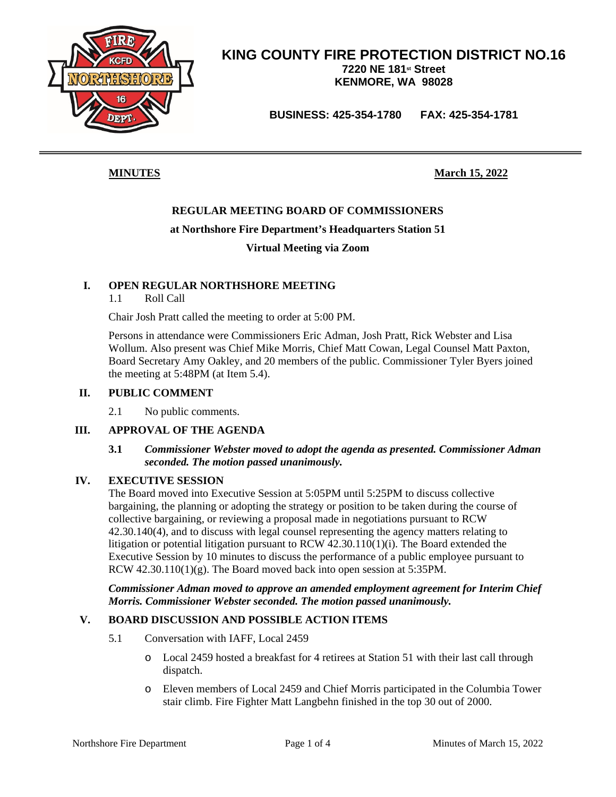

**BUSINESS: 425-354-1780 FAX: 425-354-1781**

**MINUTES March 15, 2022**

#### **REGULAR MEETING BOARD OF COMMISSIONERS**

#### **at Northshore Fire Department's Headquarters Station 51**

#### **Virtual Meeting via Zoom**

#### **I. OPEN REGULAR NORTHSHORE MEETING**

1.1 Roll Call

Chair Josh Pratt called the meeting to order at 5:00 PM.

Persons in attendance were Commissioners Eric Adman, Josh Pratt, Rick Webster and Lisa Wollum. Also present was Chief Mike Morris, Chief Matt Cowan, Legal Counsel Matt Paxton, Board Secretary Amy Oakley, and 20 members of the public. Commissioner Tyler Byers joined the meeting at 5:48PM (at Item 5.4).

#### **II. PUBLIC COMMENT**

2.1 No public comments.

#### **III. APPROVAL OF THE AGENDA**

#### **3.1** *Commissioner Webster moved to adopt the agenda as presented. Commissioner Adman seconded. The motion passed unanimously.*

#### **IV. EXECUTIVE SESSION**

The Board moved into Executive Session at 5:05PM until 5:25PM to discuss collective bargaining, the planning or adopting the strategy or position to be taken during the course of collective bargaining, or reviewing a proposal made in negotiations pursuant to RCW 42.30.140(4), and to discuss with legal counsel representing the agency matters relating to litigation or potential litigation pursuant to RCW 42.30.110(1)(i). The Board extended the Executive Session by 10 minutes to discuss the performance of a public employee pursuant to RCW 42.30.110(1)(g). The Board moved back into open session at 5:35PM.

*Commissioner Adman moved to approve an amended employment agreement for Interim Chief Morris. Commissioner Webster seconded. The motion passed unanimously.*

#### **V. BOARD DISCUSSION AND POSSIBLE ACTION ITEMS**

- 5.1 Conversation with IAFF, Local 2459
	- o Local 2459 hosted a breakfast for 4 retirees at Station 51 with their last call through dispatch.
	- o Eleven members of Local 2459 and Chief Morris participated in the Columbia Tower stair climb. Fire Fighter Matt Langbehn finished in the top 30 out of 2000.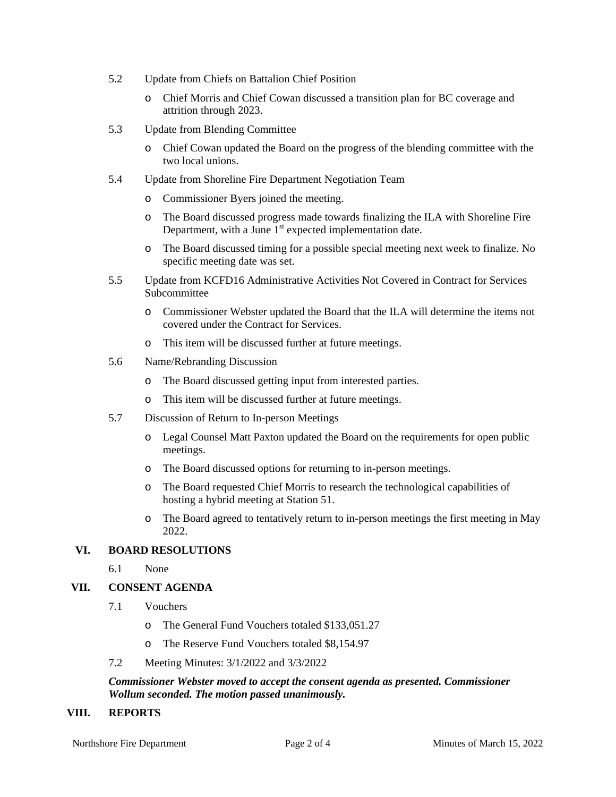- 5.2 Update from Chiefs on Battalion Chief Position
	- o Chief Morris and Chief Cowan discussed a transition plan for BC coverage and attrition through 2023.
- 5.3 Update from Blending Committee
	- o Chief Cowan updated the Board on the progress of the blending committee with the two local unions.
- 5.4 Update from Shoreline Fire Department Negotiation Team
	- o Commissioner Byers joined the meeting.
	- o The Board discussed progress made towards finalizing the ILA with Shoreline Fire Department, with a June  $1<sup>st</sup>$  expected implementation date.
	- o The Board discussed timing for a possible special meeting next week to finalize. No specific meeting date was set.
- 5.5 Update from KCFD16 Administrative Activities Not Covered in Contract for Services Subcommittee
	- o Commissioner Webster updated the Board that the ILA will determine the items not covered under the Contract for Services.
	- o This item will be discussed further at future meetings.
- 5.6 Name/Rebranding Discussion
	- o The Board discussed getting input from interested parties.
	- o This item will be discussed further at future meetings.
- 5.7 Discussion of Return to In-person Meetings
	- o Legal Counsel Matt Paxton updated the Board on the requirements for open public meetings.
	- o The Board discussed options for returning to in-person meetings.
	- o The Board requested Chief Morris to research the technological capabilities of hosting a hybrid meeting at Station 51.
	- o The Board agreed to tentatively return to in-person meetings the first meeting in May 2022.

#### **VI. BOARD RESOLUTIONS**

6.1 None

#### **VII. CONSENT AGENDA**

- 7.1 Vouchers
	- o The General Fund Vouchers totaled \$133,051.27
	- o The Reserve Fund Vouchers totaled \$8,154.97
- 7.2 Meeting Minutes: 3/1/2022 and 3/3/2022

#### *Commissioner Webster moved to accept the consent agenda as presented. Commissioner Wollum seconded. The motion passed unanimously.*

#### **VIII. REPORTS**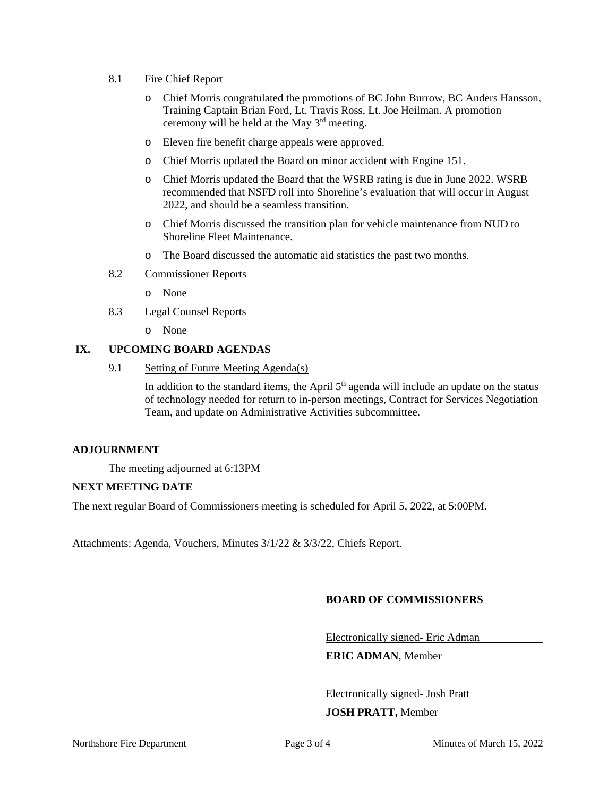#### 8.1 Fire Chief Report

- o Chief Morris congratulated the promotions of BC John Burrow, BC Anders Hansson, Training Captain Brian Ford, Lt. Travis Ross, Lt. Joe Heilman. A promotion ceremony will be held at the May 3rd meeting.
- o Eleven fire benefit charge appeals were approved.
- o Chief Morris updated the Board on minor accident with Engine 151.
- o Chief Morris updated the Board that the WSRB rating is due in June 2022. WSRB recommended that NSFD roll into Shoreline's evaluation that will occur in August 2022, and should be a seamless transition.
- o Chief Morris discussed the transition plan for vehicle maintenance from NUD to Shoreline Fleet Maintenance.
- o The Board discussed the automatic aid statistics the past two months.
- 8.2 Commissioner Reports
	- o None
- 8.3 Legal Counsel Reports

o None

#### **IX. UPCOMING BOARD AGENDAS**

9.1 Setting of Future Meeting Agenda(s)

In addition to the standard items, the April  $5<sup>th</sup>$  agenda will include an update on the status of technology needed for return to in-person meetings, Contract for Services Negotiation Team, and update on Administrative Activities subcommittee.

#### **ADJOURNMENT**

The meeting adjourned at 6:13PM

#### **NEXT MEETING DATE**

The next regular Board of Commissioners meeting is scheduled for April 5, 2022, at 5:00PM.

Attachments: Agenda, Vouchers, Minutes 3/1/22 & 3/3/22, Chiefs Report.

#### **BOARD OF COMMISSIONERS**

Electronically signed- Eric Adman

**ERIC ADMAN**, Member

Electronically signed- Josh Pratt

#### **JOSH PRATT,** Member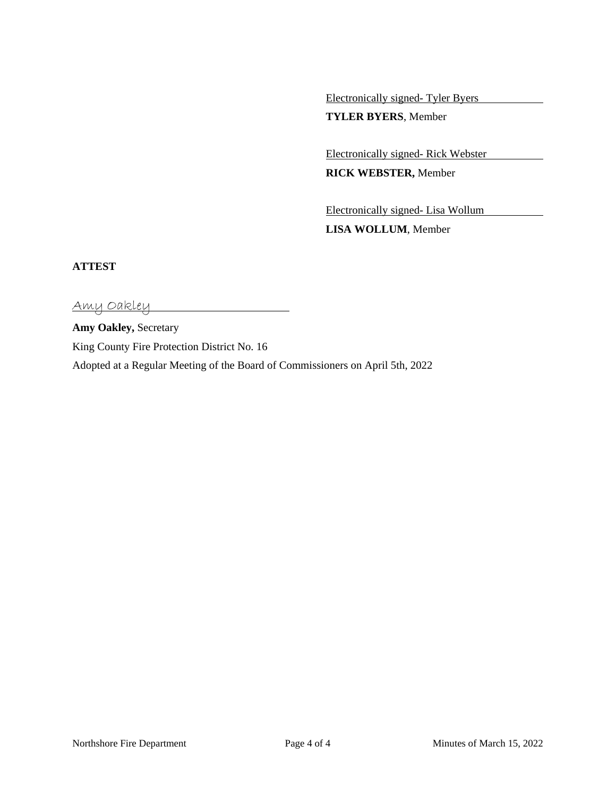Electronically signed- Tyler Byers

**TYLER BYERS**, Member

Electronically signed- Rick Webster

**RICK WEBSTER,** Member

Electronically signed- Lisa Wollum **LISA WOLLUM**, Member

#### **ATTEST**

Amy Oakley

**Amy Oakley,** Secretary King County Fire Protection District No. 16 Adopted at a Regular Meeting of the Board of Commissioners on April 5th, 2022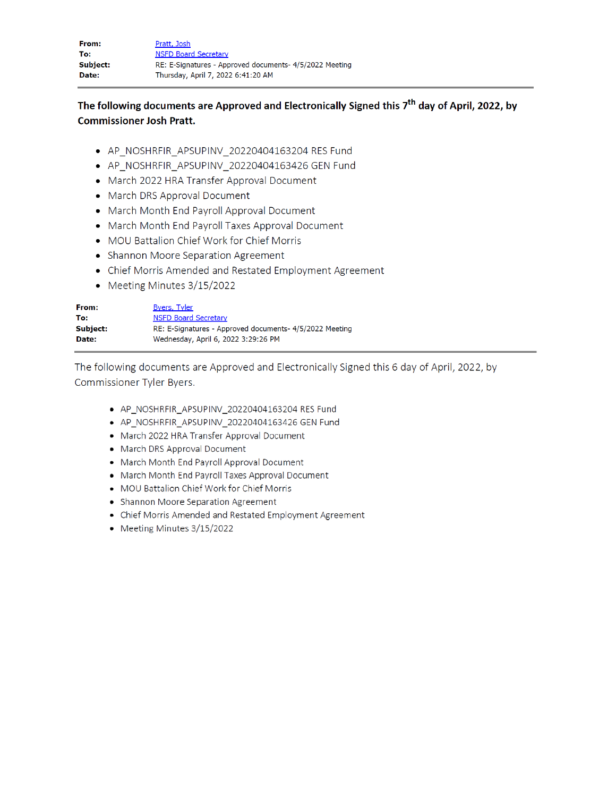| From:    | Pratt, Josh                                             |
|----------|---------------------------------------------------------|
| To:      | <b>NSFD Board Secretary</b>                             |
| Subject: | RE: E-Signatures - Approved documents- 4/5/2022 Meeting |
| Date:    | Thursday, April 7, 2022 6:41:20 AM                      |

The following documents are Approved and Electronically Signed this 7<sup>th</sup> day of April, 2022, by **Commissioner Josh Pratt.** 

- AP NOSHRFIR APSUPINV 20220404163204 RES Fund
- AP\_NOSHRFIR\_APSUPINV\_20220404163426 GEN Fund
- March 2022 HRA Transfer Approval Document
- March DRS Approval Document
- March Month End Payroll Approval Document
- March Month End Payroll Taxes Approval Document
- MOU Battalion Chief Work for Chief Morris
- Shannon Moore Separation Agreement
- Chief Morris Amended and Restated Employment Agreement
- Meeting Minutes 3/15/2022

| From:    | <b>Byers, Tyler</b>                                     |
|----------|---------------------------------------------------------|
| To:      | <b>NSFD Board Secretary</b>                             |
| Subject: | RE: E-Signatures - Approved documents- 4/5/2022 Meeting |
| Date:    | Wednesday, April 6, 2022 3:29:26 PM                     |

The following documents are Approved and Electronically Signed this 6 day of April, 2022, by Commissioner Tyler Byers.

- AP NOSHRFIR APSUPINV 20220404163204 RES Fund
- · AP NOSHRFIR APSUPINV 20220404163426 GEN Fund
- March 2022 HRA Transfer Approval Document
- March DRS Approval Document
- March Month End Payroll Approval Document
- March Month End Payroll Taxes Approval Document
- MOU Battalion Chief Work for Chief Morris
- Shannon Moore Separation Agreement
- Chief Morris Amended and Restated Employment Agreement
- Meeting Minutes 3/15/2022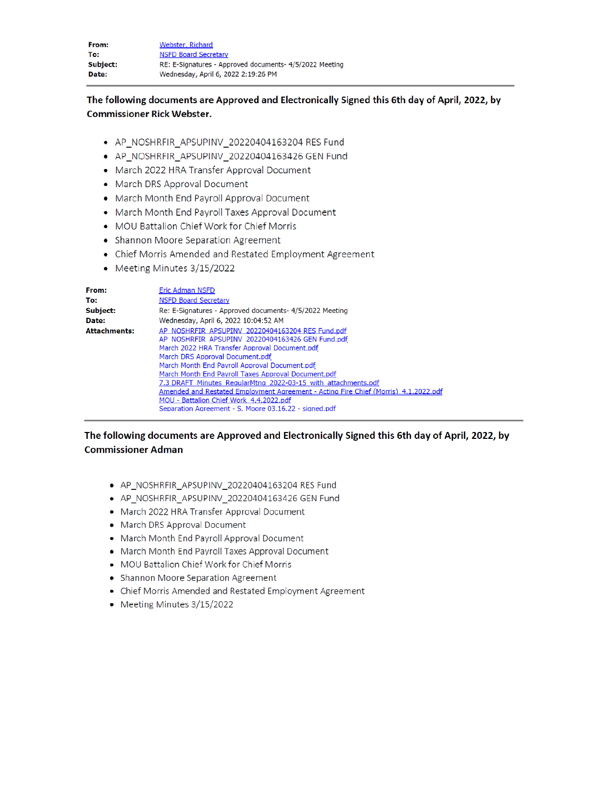| From:    | Webster, Richard                                        |
|----------|---------------------------------------------------------|
| To:      | <b>NSFD Board Secretary</b>                             |
| Subject: | RE: E-Signatures - Approved documents- 4/5/2022 Meeting |
| Date:    | Wednesday, April 6, 2022 2:19:26 PM                     |

#### The following documents are Approved and Electronically Signed this 6th day of April, 2022, by **Commissioner Rick Webster.**

- AP\_NOSHRFIR\_APSUPINV\_20220404163204 RES Fund
- AP\_NOSHRFIR\_APSUPINV\_20220404163426 GEN Fund
- March 2022 HRA Transfer Approval Document
- March DRS Approval Document
- March Month End Payroll Approval Document
- March Month End Payroll Taxes Approval Document
- MOU Battalion Chief Work for Chief Morris
- Shannon Moore Separation Agreement
- Chief Morris Amended and Restated Employment Agreement
- Meeting Minutes 3/15/2022

| From:               | <b>Eric Adman NSFD</b>                                                                                                                                                                                                                                                                                                                                                                                                                                                                                                                                       |
|---------------------|--------------------------------------------------------------------------------------------------------------------------------------------------------------------------------------------------------------------------------------------------------------------------------------------------------------------------------------------------------------------------------------------------------------------------------------------------------------------------------------------------------------------------------------------------------------|
| To:                 | <b>NSFD Board Secretary</b>                                                                                                                                                                                                                                                                                                                                                                                                                                                                                                                                  |
| Subject:            | Re: E-Signatures - Approved documents- 4/5/2022 Meeting                                                                                                                                                                                                                                                                                                                                                                                                                                                                                                      |
| Date:               | Wednesday, April 6, 2022 10:04:52 AM                                                                                                                                                                                                                                                                                                                                                                                                                                                                                                                         |
| <b>Attachments:</b> | AP NOSHRFIR APSUPINV 20220404163204 RES Fund.pdf<br>AP NOSHRFIR APSUPINV 20220404163426 GEN Fund.pdf<br>March 2022 HRA Transfer Approval Document.pdf<br>March DRS Approval Document.pdf<br>March Month End Payroll Approval Document.pdf<br>March Month End Payroll Taxes Approval Document.pdf<br>7.3 DRAFT Minutes RegularMtng 2022-03-15 with attachments.pdf<br>Amended and Restated Employment Agreement - Acting Fire Chief (Morris) 4.1.2022.pdf<br>MOU - Battalion Chief Work 4.4.2022.pdf<br>Separation Agreement - S. Moore 03.16.22 - signed.pdf |

#### The following documents are Approved and Electronically Signed this 6th day of April, 2022, by **Commissioner Adman**

- AP\_NOSHRFIR\_APSUPINV\_20220404163204 RES Fund
- AP\_NOSHRFIR\_APSUPINV\_20220404163426 GEN Fund
- March 2022 HRA Transfer Approval Document
- March DRS Approval Document
- March Month End Payroll Approval Document
- March Month End Payroll Taxes Approval Document
- MOU Battalion Chief Work for Chief Morris
- Shannon Moore Separation Agreement
- Chief Morris Amended and Restated Employment Agreement
- Meeting Minutes 3/15/2022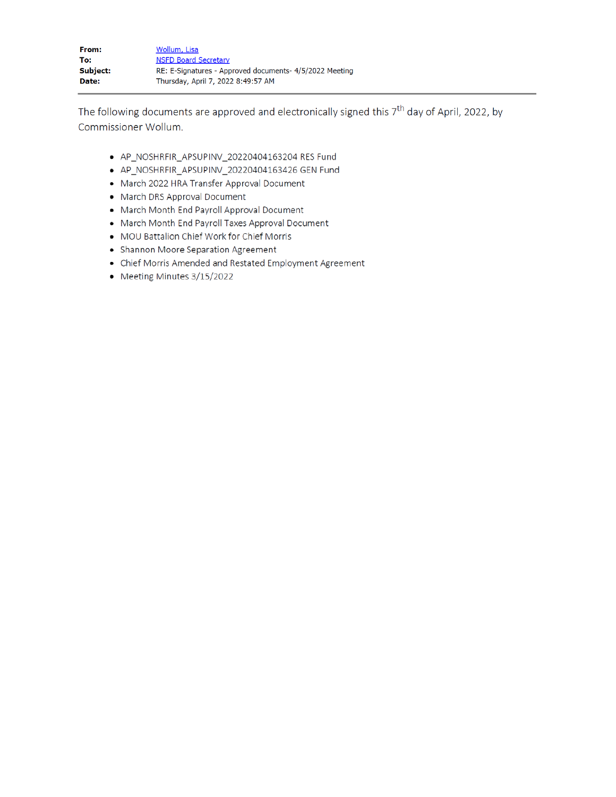| From:    | Wollum, Lisa                                            |
|----------|---------------------------------------------------------|
| To:      | <b>NSFD Board Secretary</b>                             |
| Subject: | RE: E-Signatures - Approved documents- 4/5/2022 Meeting |
| Date:    | Thursday, April 7, 2022 8:49:57 AM                      |

The following documents are approved and electronically signed this  $7<sup>th</sup>$  day of April, 2022, by Commissioner Wollum.

- AP\_NOSHRFIR\_APSUPINV\_20220404163204 RES Fund
- AP\_NOSHRFIR\_APSUPINV\_20220404163426 GEN Fund
- March 2022 HRA Transfer Approval Document
- March DRS Approval Document
- March Month End Payroll Approval Document
- March Month End Payroll Taxes Approval Document
- MOU Battalion Chief Work for Chief Morris
- Shannon Moore Separation Agreement
- Chief Morris Amended and Restated Employment Agreement
- Meeting Minutes 3/15/2022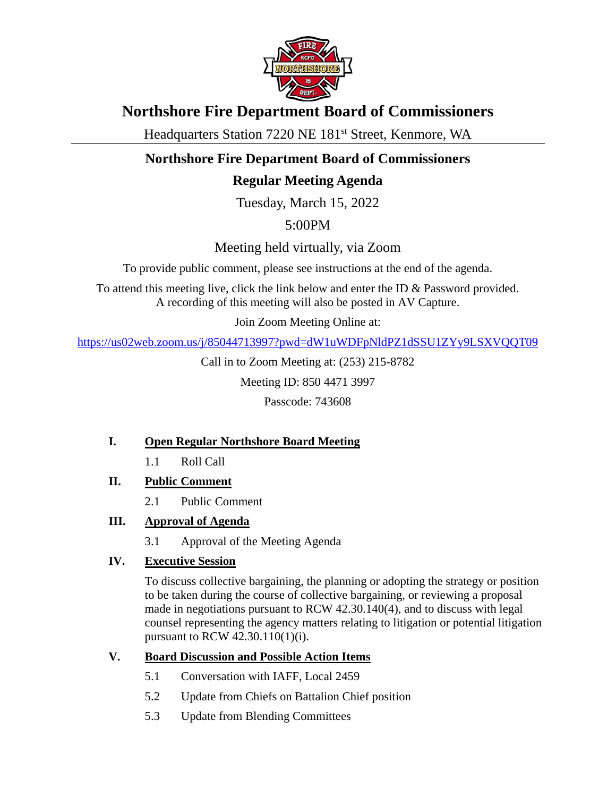

# **Northshore Fire Department Board of Commissioners**

Headquarters Station 7220 NE 181<sup>st</sup> Street, Kenmore, WA

# **Northshore Fire Department Board of Commissioners**

# **Regular Meeting Agenda**

Tuesday, March 15, 2022

5:00PM

Meeting held virtually, via Zoom

To provide public comment, please see instructions at the end of the agenda.

To attend this meeting live, click the link below and enter the ID & Password provided. A recording of this meeting will also be posted in AV Capture.

Join Zoom Meeting Online at:

<https://us02web.zoom.us/j/85044713997?pwd=dW1uWDFpNldPZ1dSSU1ZYy9LSXVQQT09>

Call in to Zoom Meeting at: (253) 215-8782

Meeting ID: 850 4471 3997

Passcode: 743608

## **I. Open Regular Northshore Board Meeting**

- 1.1 Roll Call
- **II. Public Comment**
	- 2.1 Public Comment
- **III. Approval of Agenda**
	- 3.1 Approval of the Meeting Agenda

## **IV. Executive Session**

To discuss collective bargaining, the planning or adopting the strategy or position to be taken during the course of collective bargaining, or reviewing a proposal made in negotiations pursuant to RCW 42.30.140(4), and to discuss with legal counsel representing the agency matters relating to litigation or potential litigation pursuant to RCW 42.30.110(1)(i).

## **V. Board Discussion and Possible Action Items**

- 5.1 Conversation with IAFF, Local 2459
- 5.2 Update from Chiefs on Battalion Chief position
- 5.3 Update from Blending Committees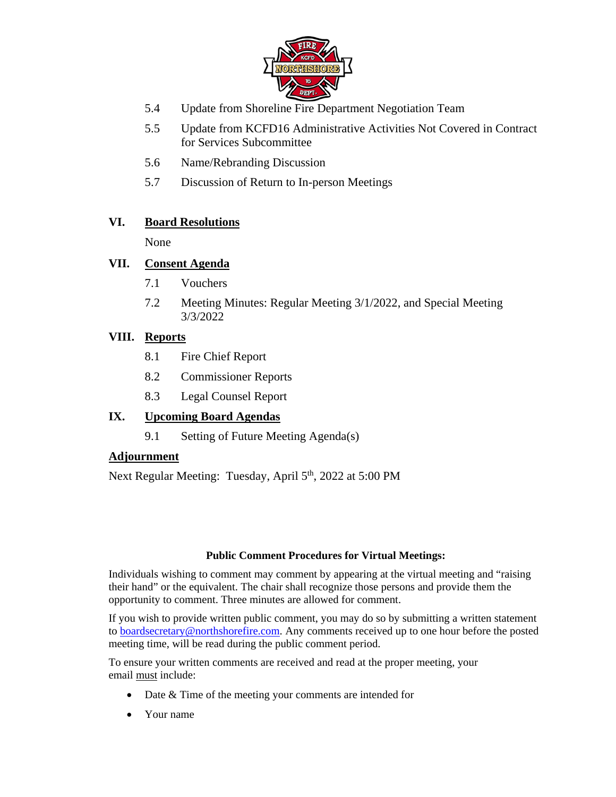

- 5.4 Update from Shoreline Fire Department Negotiation Team
- 5.5 Update from KCFD16 Administrative Activities Not Covered in Contract for Services Subcommittee
- 5.6 Name/Rebranding Discussion
- 5.7 Discussion of Return to In-person Meetings

### **VI. Board Resolutions**

None

#### **VII. Consent Agenda**

- 7.1 Vouchers
- 7.2 Meeting Minutes: Regular Meeting 3/1/2022, and Special Meeting 3/3/2022

#### **VIII. Reports**

- 8.1 Fire Chief Report
- 8.2 Commissioner Reports
- 8.3 Legal Counsel Report

### **IX. Upcoming Board Agendas**

9.1 Setting of Future Meeting Agenda(s)

#### **Adjournment**

Next Regular Meeting: Tuesday, April 5<sup>th</sup>, 2022 at 5:00 PM

#### **Public Comment Procedures for Virtual Meetings:**

Individuals wishing to comment may comment by appearing at the virtual meeting and "raising their hand" or the equivalent. The chair shall recognize those persons and provide them the opportunity to comment. Three minutes are allowed for comment.

If you wish to provide written public comment, you may do so by submitting a written statement to **boardsecretary@northshorefire.com**. Any comments received up to one hour before the posted meeting time, will be read during the public comment period.

To ensure your written comments are received and read at the proper meeting, your email must include:

- Date & Time of the meeting your comments are intended for
- Your name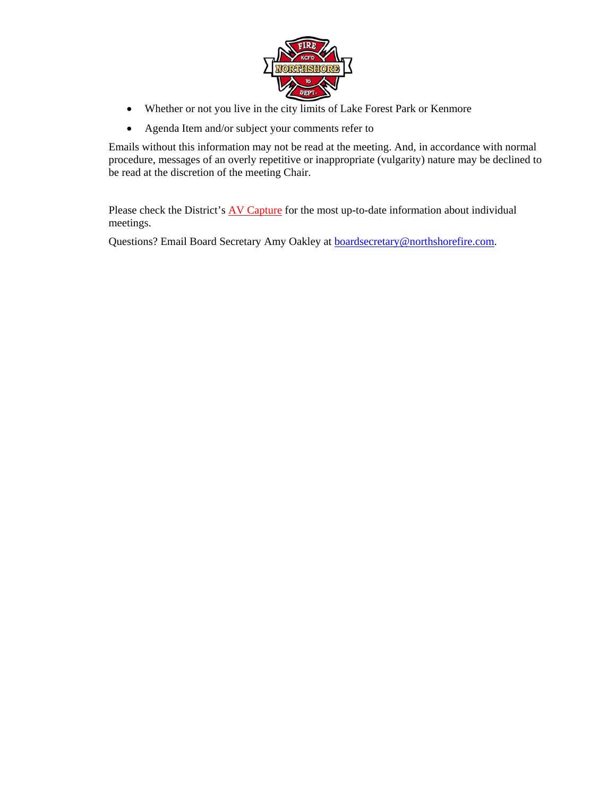

- Whether or not you live in the city limits of Lake Forest Park or Kenmore
- Agenda Item and/or subject your comments refer to

Emails without this information may not be read at the meeting. And, in accordance with normal procedure, messages of an overly repetitive or inappropriate (vulgarity) nature may be declined to be read at the discretion of the meeting Chair.

Please check the District's **AV Capture** for the most up-to-date information about individual meetings.

Questions? Email Board Secretary Amy Oakley at **boardsecretary@northshorefire.com**.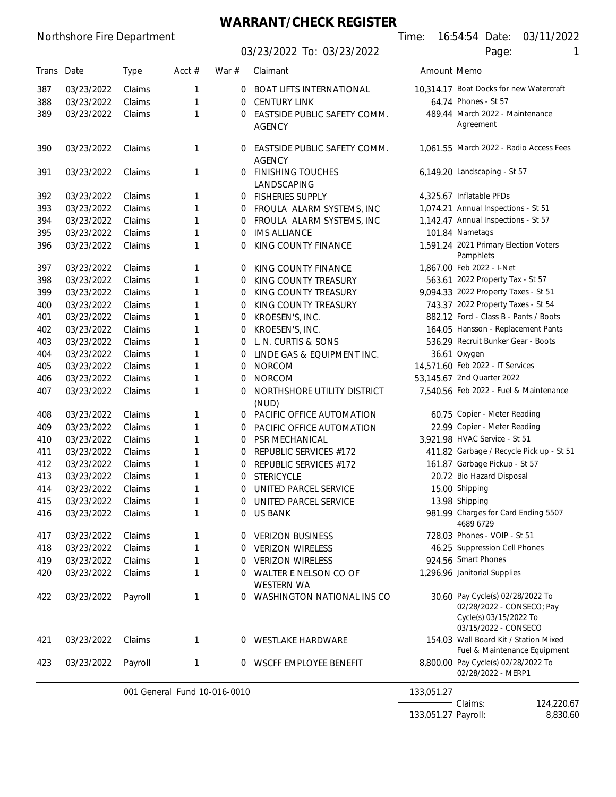## **WARRANT/CHECK REGISTER**

03/23/2022 To: 03/23/2022 Page:

Northshore Fire Department **Time:** 16:54:54 Date: 03/11/2022

| I |
|---|
|   |
|   |

| Trans Date |            | <b>Type</b> | Acct $#$                     | War $#$  | Claimant                                      | Amount Memo |                                                                                                                 |
|------------|------------|-------------|------------------------------|----------|-----------------------------------------------|-------------|-----------------------------------------------------------------------------------------------------------------|
| 387        | 03/23/2022 | Claims      | 1                            | 0        | <b>BOAT LIFTS INTERNATIONAL</b>               |             | 10,314.17 Boat Docks for new Watercraft                                                                         |
| 388        | 03/23/2022 | Claims      | 1                            | 0        | <b>CENTURY LINK</b>                           |             | 64.74 Phones - St 57                                                                                            |
| 389        | 03/23/2022 | Claims      | 1                            | 0        | EASTSIDE PUBLIC SAFETY COMM.                  |             | 489.44 March 2022 - Maintenance                                                                                 |
|            |            |             |                              |          | <b>AGENCY</b>                                 |             | Agreement                                                                                                       |
| 390        | 03/23/2022 | Claims      | 1                            | $\Omega$ | EASTSIDE PUBLIC SAFETY COMM.<br><b>AGENCY</b> |             | 1,061.55 March 2022 - Radio Access Fees                                                                         |
| 391        | 03/23/2022 | Claims      | 1                            | 0        | <b>FINISHING TOUCHES</b><br>LANDSCAPING       |             | 6,149.20 Landscaping - St 57                                                                                    |
| 392        | 03/23/2022 | Claims      | 1                            | 0        | <b>FISHERIES SUPPLY</b>                       |             | 4.325.67 Inflatable PFDs                                                                                        |
| 393        | 03/23/2022 | Claims      | 1                            | 0        | FROULA ALARM SYSTEMS, INC                     |             | 1,074.21 Annual Inspections - St 51                                                                             |
| 394        | 03/23/2022 | Claims      | 1                            | 0        | FROULA ALARM SYSTEMS, INC                     |             | 1,142.47 Annual Inspections - St 57                                                                             |
| 395        | 03/23/2022 | Claims      | 1                            | 0        | <b>IMS ALLIANCE</b>                           |             | 101.84 Nametags                                                                                                 |
| 396        | 03/23/2022 | Claims      | 1                            | 0        | KING COUNTY FINANCE                           |             | 1,591.24 2021 Primary Election Voters<br>Pamphlets                                                              |
| 397        | 03/23/2022 | Claims      | 1                            | 0        | KING COUNTY FINANCE                           |             | 1,867.00 Feb 2022 - I-Net                                                                                       |
| 398        | 03/23/2022 | Claims      | 1                            | 0        | KING COUNTY TREASURY                          |             | 563.61 2022 Property Tax - St 57                                                                                |
| 399        | 03/23/2022 | Claims      | 1                            | 0        | KING COUNTY TREASURY                          |             | 9,094.33 2022 Property Taxes - St 51                                                                            |
| 400        | 03/23/2022 | Claims      | 1                            | 0        | KING COUNTY TREASURY                          |             | 743.37 2022 Property Taxes - St 54                                                                              |
| 401        | 03/23/2022 | Claims      | 1                            | 0        | KROESEN'S, INC.                               |             | 882.12 Ford - Class B - Pants / Boots                                                                           |
| 402        | 03/23/2022 | Claims      | 1                            | 0        | KROESEN'S, INC.                               |             | 164.05 Hansson - Replacement Pants                                                                              |
| 403        | 03/23/2022 | Claims      | 1                            | 0        | L. N. CURTIS & SONS                           |             | 536.29 Recruit Bunker Gear - Boots                                                                              |
| 404        | 03/23/2022 | Claims      | 1                            | 0        | LINDE GAS & EQUIPMENT INC.                    |             | 36.61 Oxygen                                                                                                    |
| 405        | 03/23/2022 | Claims      | 1                            | 0        | <b>NORCOM</b>                                 |             | 14,571.60 Feb 2022 - IT Services                                                                                |
| 406        | 03/23/2022 | Claims      | 1                            | 0        | <b>NORCOM</b>                                 |             | 53,145.67 2nd Quarter 2022                                                                                      |
| 407        | 03/23/2022 | Claims      | 1                            | 0        | NORTHSHORE UTILITY DISTRICT<br>(NUD)          |             | 7,540.56 Feb 2022 - Fuel & Maintenance                                                                          |
| 408        | 03/23/2022 | Claims      | 1                            | 0        | PACIFIC OFFICE AUTOMATION                     |             | 60.75 Copier - Meter Reading                                                                                    |
| 409        | 03/23/2022 | Claims      | 1                            | 0        | PACIFIC OFFICE AUTOMATION                     |             | 22.99 Copier - Meter Reading                                                                                    |
| 410        | 03/23/2022 | Claims      | 1                            | 0        | PSR MECHANICAL                                |             | 3,921.98 HVAC Service - St 51                                                                                   |
| 411        | 03/23/2022 | Claims      | 1                            | 0        | REPUBLIC SERVICES #172                        |             | 411.82 Garbage / Recycle Pick up - St 51                                                                        |
| 412        | 03/23/2022 | Claims      | 1                            | 0        | REPUBLIC SERVICES #172                        |             | 161.87 Garbage Pickup - St 57                                                                                   |
| 413        | 03/23/2022 | Claims      | 1                            | 0        | <b>STERICYCLE</b>                             |             | 20.72 Bio Hazard Disposal                                                                                       |
| 414        | 03/23/2022 | Claims      | 1                            | 0        | UNITED PARCEL SERVICE                         |             | 15.00 Shipping                                                                                                  |
| 415        | 03/23/2022 | Claims      | 1                            | 0        | UNITED PARCEL SERVICE                         |             | 13.98 Shipping                                                                                                  |
| 416        | 03/23/2022 | Claims      | 1                            |          | 0 US BANK                                     |             | 981.99 Charges for Card Ending 5507<br>4689 6729                                                                |
| 417        | 03/23/2022 | Claims      | 1                            | 0        | <b>VERIZON BUSINESS</b>                       |             | 728.03 Phones - VOIP - St 51                                                                                    |
| 418        | 03/23/2022 | Claims      | 1                            | 0        | <b>VERIZON WIRELESS</b>                       |             | 46.25 Suppression Cell Phones                                                                                   |
| 419        | 03/23/2022 | Claims      | 1                            | 0        | <b>VERIZON WIRELESS</b>                       |             | 924.56 Smart Phones                                                                                             |
| 420        | 03/23/2022 | Claims      | 1                            | 0        | WALTER E NELSON CO OF<br><b>WESTERN WA</b>    |             | 1,296.96 Janitorial Supplies                                                                                    |
| 422        | 03/23/2022 | Payroll     | 1                            | 0        | WASHINGTON NATIONAL INS CO                    |             | 30.60 Pay Cycle(s) 02/28/2022 To<br>02/28/2022 - CONSECO; Pay<br>Cycle(s) 03/15/2022 To<br>03/15/2022 - CONSECO |
| 421        | 03/23/2022 | Claims      | 1                            | 0        | WESTLAKE HARDWARE                             |             | 154.03 Wall Board Kit / Station Mixed<br>Fuel & Maintenance Equipment                                           |
| 423        | 03/23/2022 | Payroll     | 1                            | 0        | WSCFF EMPLOYEE BENEFIT                        |             | 8,800.00 Pay Cycle(s) 02/28/2022 To<br>02/28/2022 - MERP1                                                       |
|            |            |             | 001 General Fund 10-016-0010 |          |                                               | 133,051.27  |                                                                                                                 |
|            |            |             |                              |          |                                               |             | -Claims:<br>124,220.67                                                                                          |

133,051.27 Payroll: 8,830.60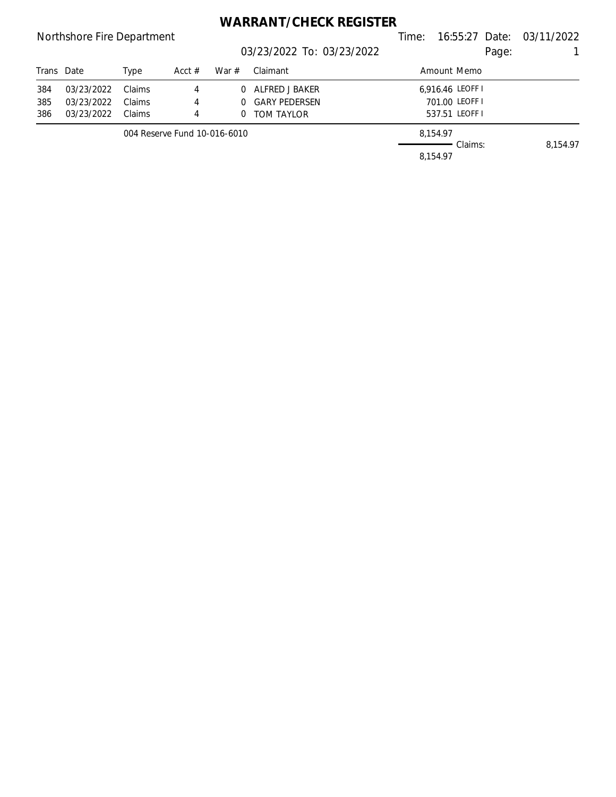## **WARRANT/CHECK REGISTER**

## Northshore Fire Department Northshore Fire Department Communication Communication Communication Communication 03/23/2022 To: 03/23/2022 Page: 1 Trans Date Type Acct # War # Claimant Trans Date Amount Memo 384 03/23/2022 Claims 4 0 ALFRED J BAKER 6,916.46 LEOFF I 385 03/23/2022 Claims 4 0 GARY PEDERSEN 701.00 LEOFF I 386 03/23/2022 Claims 4 0 TOM TAYLOR 537.51 LEOFF I 004 Reserve Fund 10-016-6010 8,154.97 Claims: 8,154.97 8,154.97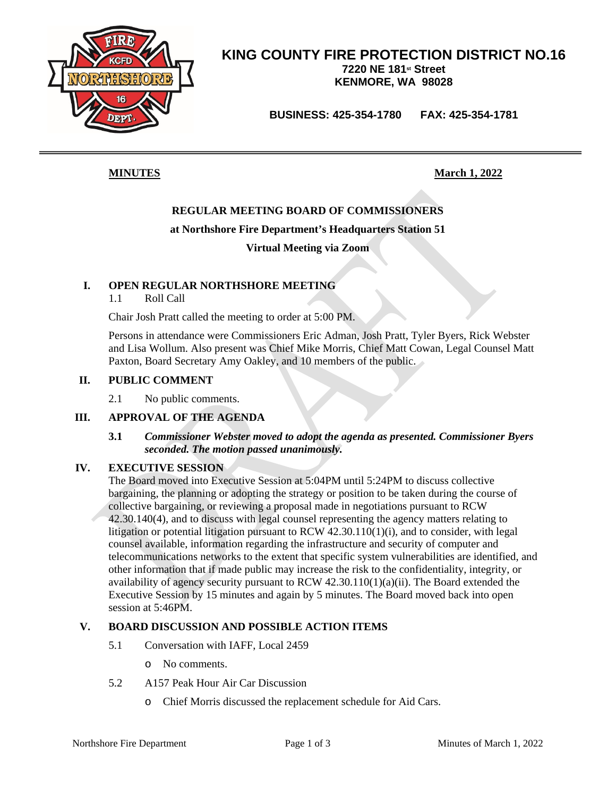

**BUSINESS: 425-354-1780 FAX: 425-354-1781**

**MINUTES March 1, 2022**

### **REGULAR MEETING BOARD OF COMMISSIONERS**

#### **at Northshore Fire Department's Headquarters Station 51**

**Virtual Meeting via Zoom**

#### **I. OPEN REGULAR NORTHSHORE MEETING**

1.1 Roll Call

Chair Josh Pratt called the meeting to order at 5:00 PM.

Persons in attendance were Commissioners Eric Adman, Josh Pratt, Tyler Byers, Rick Webster and Lisa Wollum. Also present was Chief Mike Morris, Chief Matt Cowan, Legal Counsel Matt Paxton, Board Secretary Amy Oakley, and 10 members of the public.

#### **II. PUBLIC COMMENT**

2.1 No public comments.

#### **III. APPROVAL OF THE AGENDA**

#### **3.1** *Commissioner Webster moved to adopt the agenda as presented. Commissioner Byers seconded. The motion passed unanimously.*

#### **IV. EXECUTIVE SESSION**

The Board moved into Executive Session at 5:04PM until 5:24PM to discuss collective bargaining, the planning or adopting the strategy or position to be taken during the course of collective bargaining, or reviewing a proposal made in negotiations pursuant to RCW 42.30.140(4), and to discuss with legal counsel representing the agency matters relating to litigation or potential litigation pursuant to RCW 42.30.110(1)(i), and to consider, with legal counsel available, information regarding the infrastructure and security of computer and telecommunications networks to the extent that specific system vulnerabilities are identified, and other information that if made public may increase the risk to the confidentiality, integrity, or availability of agency security pursuant to RCW 42.30.110(1)(a)(ii). The Board extended the Executive Session by 15 minutes and again by 5 minutes. The Board moved back into open session at 5:46PM.

#### **V. BOARD DISCUSSION AND POSSIBLE ACTION ITEMS**

- 5.1 Conversation with IAFF, Local 2459
	- o No comments.
- 5.2 A157 Peak Hour Air Car Discussion
	- o Chief Morris discussed the replacement schedule for Aid Cars.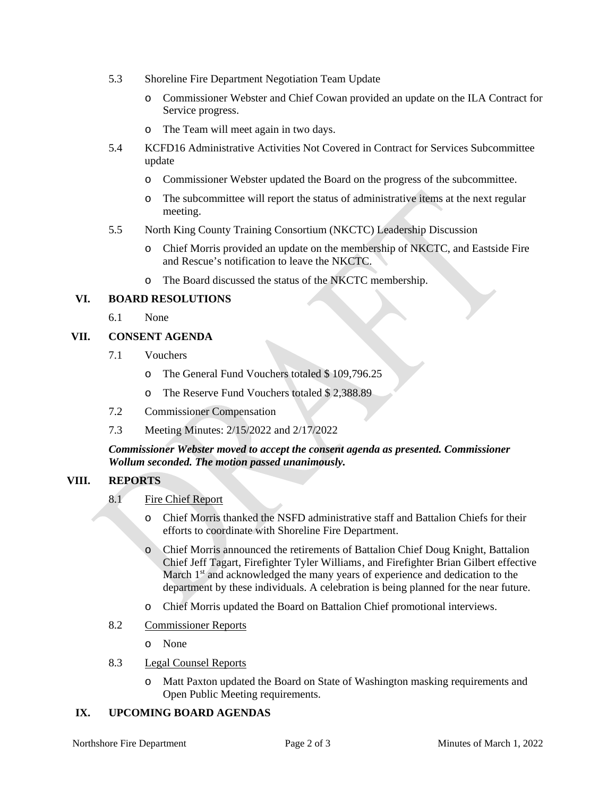- 5.3 Shoreline Fire Department Negotiation Team Update
	- o Commissioner Webster and Chief Cowan provided an update on the ILA Contract for Service progress.
	- o The Team will meet again in two days.
- 5.4 KCFD16 Administrative Activities Not Covered in Contract for Services Subcommittee update
	- o Commissioner Webster updated the Board on the progress of the subcommittee.
	- o The subcommittee will report the status of administrative items at the next regular meeting.
- 5.5 North King County Training Consortium (NKCTC) Leadership Discussion
	- o Chief Morris provided an update on the membership of NKCTC, and Eastside Fire and Rescue's notification to leave the NKCTC.
	- o The Board discussed the status of the NKCTC membership.

#### **VI. BOARD RESOLUTIONS**

6.1 None

#### **VII. CONSENT AGENDA**

- 7.1 Vouchers
	- o The General Fund Vouchers totaled \$ 109,796.25
	- o The Reserve Fund Vouchers totaled \$ 2,388.89
- 7.2 Commissioner Compensation
- 7.3 Meeting Minutes: 2/15/2022 and 2/17/2022

#### *Commissioner Webster moved to accept the consent agenda as presented. Commissioner Wollum seconded. The motion passed unanimously.*

#### **VIII. REPORTS**

- 8.1 Fire Chief Report
	- o Chief Morris thanked the NSFD administrative staff and Battalion Chiefs for their efforts to coordinate with Shoreline Fire Department.
	- o Chief Morris announced the retirements of Battalion Chief Doug Knight, Battalion Chief Jeff Tagart, Firefighter Tyler Williams, and Firefighter Brian Gilbert effective March 1<sup>st</sup> and acknowledged the many years of experience and dedication to the department by these individuals. A celebration is being planned for the near future.
	- o Chief Morris updated the Board on Battalion Chief promotional interviews.
- 8.2 Commissioner Reports
	- o None
- 8.3 Legal Counsel Reports
	- o Matt Paxton updated the Board on State of Washington masking requirements and Open Public Meeting requirements.

#### **IX. UPCOMING BOARD AGENDAS**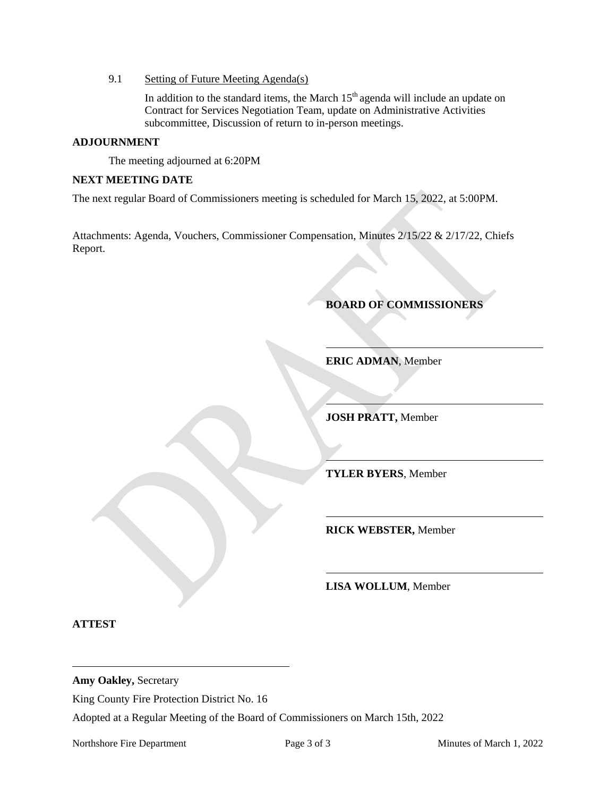9.1 Setting of Future Meeting Agenda(s)

In addition to the standard items, the March  $15<sup>th</sup>$  agenda will include an update on Contract for Services Negotiation Team, update on Administrative Activities subcommittee, Discussion of return to in-person meetings.

#### **ADJOURNMENT**

The meeting adjourned at 6:20PM

#### **NEXT MEETING DATE**

The next regular Board of Commissioners meeting is scheduled for March 15, 2022, at 5:00PM.

Attachments: Agenda, Vouchers, Commissioner Compensation, Minutes 2/15/22 & 2/17/22, Chiefs Report.

#### **BOARD OF COMMISSIONERS**

**ERIC ADMAN**, Member

**JOSH PRATT,** Member

**TYLER BYERS**, Member

**RICK WEBSTER,** Member

**LISA WOLLUM**, Member

**ATTEST**

**Amy Oakley,** Secretary

King County Fire Protection District No. 16

Adopted at a Regular Meeting of the Board of Commissioners on March 15th, 2022

Northshore Fire Department Page 3 of 3 Minutes of March 1, 2022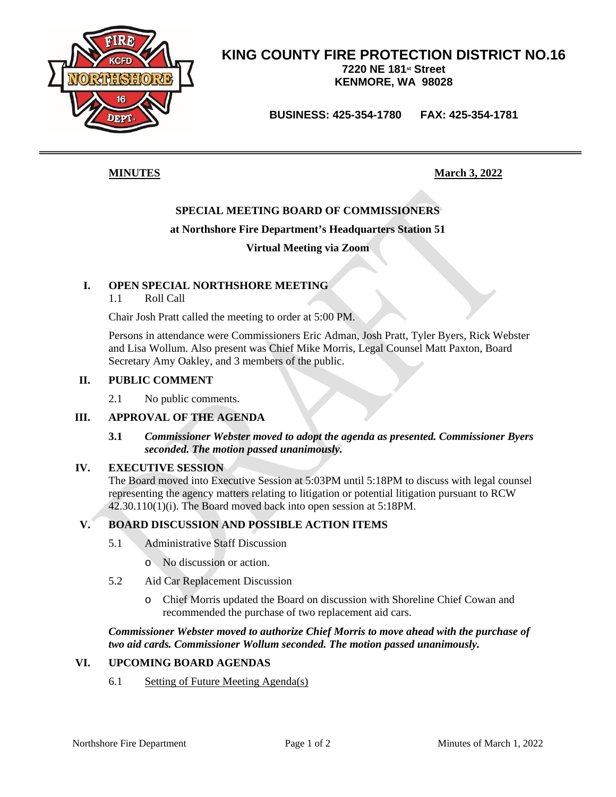

**BUSINESS: 425-354-1780 FAX: 425-354-1781**

**MINUTES March** 3, 2022

### **SPECIAL MEETING BOARD OF COMMISSIONERS**

#### **at Northshore Fire Department's Headquarters Station 51**

**Virtual Meeting via Zoom**

#### **I. OPEN SPECIAL NORTHSHORE MEETING**

1.1 Roll Call

Chair Josh Pratt called the meeting to order at 5:00 PM.

Persons in attendance were Commissioners Eric Adman, Josh Pratt, Tyler Byers, Rick Webster and Lisa Wollum. Also present was Chief Mike Morris, Legal Counsel Matt Paxton, Board Secretary Amy Oakley, and 3 members of the public.

#### **II. PUBLIC COMMENT**

2.1 No public comments.

#### **III. APPROVAL OF THE AGENDA**

#### **3.1** *Commissioner Webster moved to adopt the agenda as presented. Commissioner Byers seconded. The motion passed unanimously.*

#### **IV. EXECUTIVE SESSION**

The Board moved into Executive Session at 5:03PM until 5:18PM to discuss with legal counsel representing the agency matters relating to litigation or potential litigation pursuant to RCW 42.30.110(1)(i). The Board moved back into open session at 5:18PM.

#### **V. BOARD DISCUSSION AND POSSIBLE ACTION ITEMS**

- 5.1 Administrative Staff Discussion
	- o No discussion or action.
- 5.2 Aid Car Replacement Discussion
	- o Chief Morris updated the Board on discussion with Shoreline Chief Cowan and recommended the purchase of two replacement aid cars.

*Commissioner Webster moved to authorize Chief Morris to move ahead with the purchase of two aid cards. Commissioner Wollum seconded. The motion passed unanimously.*

#### **VI. UPCOMING BOARD AGENDAS**

6.1 Setting of Future Meeting Agenda(s)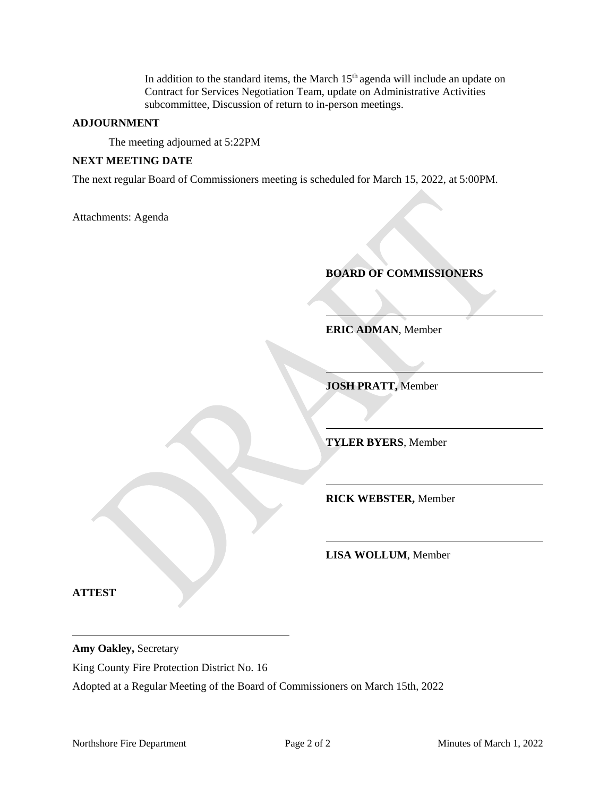In addition to the standard items, the March  $15<sup>th</sup>$  agenda will include an update on Contract for Services Negotiation Team, update on Administrative Activities subcommittee, Discussion of return to in-person meetings.

#### **ADJOURNMENT**

The meeting adjourned at 5:22PM

#### **NEXT MEETING DATE**

The next regular Board of Commissioners meeting is scheduled for March 15, 2022, at 5:00PM.

Attachments: Agenda

**BOARD OF COMMISSIONERS**

**ERIC ADMAN**, Member

**JOSH PRATT,** Member

**TYLER BYERS**, Member

**RICK WEBSTER,** Member

**LISA WOLLUM**, Member

**ATTEST**

**Amy Oakley,** Secretary

King County Fire Protection District No. 16

Adopted at a Regular Meeting of the Board of Commissioners on March 15th, 2022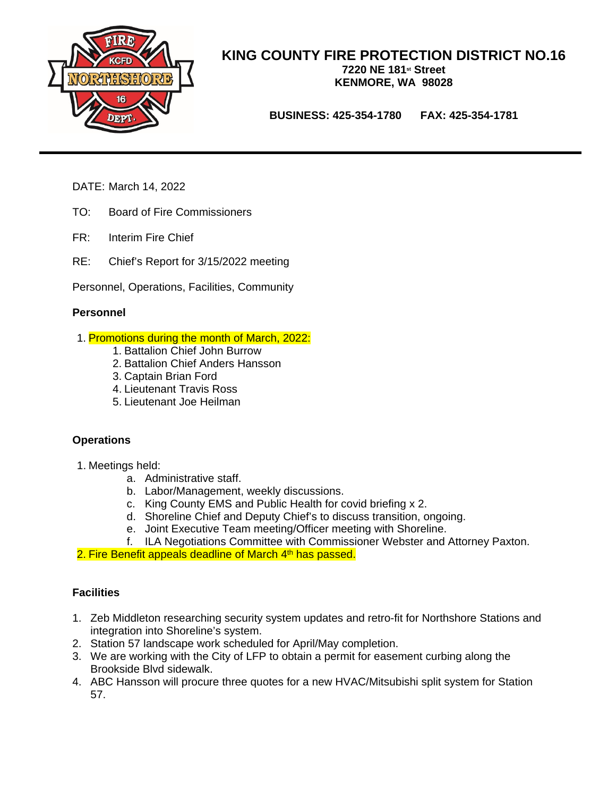

**BUSINESS: 425-354-1780 FAX: 425-354-1781**

- DATE: March 14, 2022
- TO: Board of Fire Commissioners
- FR: Interim Fire Chief
- RE: Chief's Report for 3/15/2022 meeting

Personnel, Operations, Facilities, Community

#### **Personnel**

- 1. Promotions during the month of March, 2022:
	- 1. Battalion Chief John Burrow
	- 2. Battalion Chief Anders Hansson
	- 3. Captain Brian Ford
	- 4. Lieutenant Travis Ross
	- 5. Lieutenant Joe Heilman

#### **Operations**

- 1. Meetings held:
	- a. Administrative staff.
	- b. Labor/Management, weekly discussions.
	- c. King County EMS and Public Health for covid briefing x 2.
	- d. Shoreline Chief and Deputy Chief's to discuss transition, ongoing.
	- e. Joint Executive Team meeting/Officer meeting with Shoreline.
	- f. ILA Negotiations Committee with Commissioner Webster and Attorney Paxton.
- 2. Fire Benefit appeals deadline of March 4<sup>th</sup> has passed.

#### **Facilities**

- 1. Zeb Middleton researching security system updates and retro-fit for Northshore Stations and integration into Shoreline's system.
- 2. Station 57 landscape work scheduled for April/May completion.
- 3. We are working with the City of LFP to obtain a permit for easement curbing along the Brookside Blvd sidewalk.
- 4. ABC Hansson will procure three quotes for a new HVAC/Mitsubishi split system for Station 57.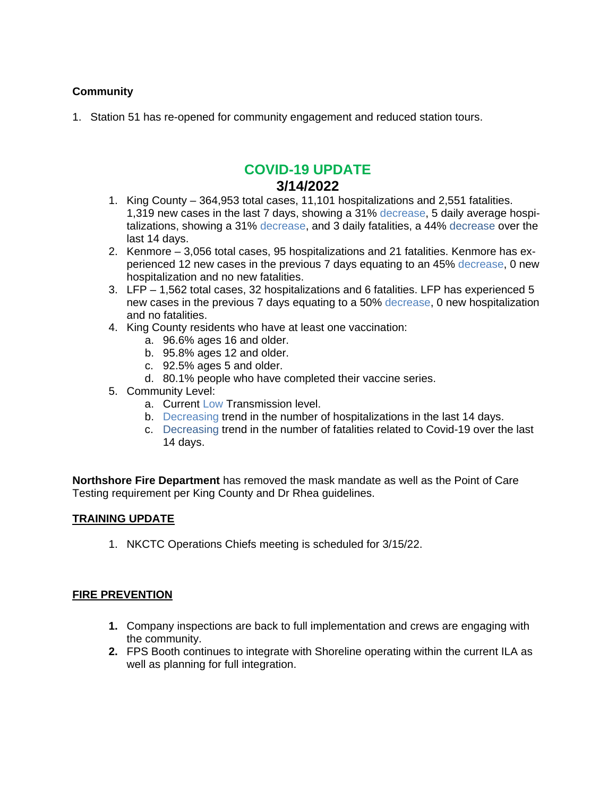#### **Community**

1. Station 51 has re-opened for community engagement and reduced station tours.

## **COVID-19 UPDATE 3/14/2022**

- 1. King County 364,953 total cases, 11,101 hospitalizations and 2,551 fatalities. 1,319 new cases in the last 7 days, showing a 31% decrease, 5 daily average hospitalizations, showing a 31% decrease, and 3 daily fatalities, a 44% decrease over the last 14 days.
- 2. Kenmore 3,056 total cases, 95 hospitalizations and 21 fatalities. Kenmore has experienced 12 new cases in the previous 7 days equating to an 45% decrease, 0 new hospitalization and no new fatalities.
- 3. LFP 1,562 total cases, 32 hospitalizations and 6 fatalities. LFP has experienced 5 new cases in the previous 7 days equating to a 50% decrease, 0 new hospitalization and no fatalities.
- 4. King County residents who have at least one vaccination:
	- a. 96.6% ages 16 and older.
	- b. 95.8% ages 12 and older.
	- c. 92.5% ages 5 and older.
	- d. 80.1% people who have completed their vaccine series.
- 5. Community Level:
	- a. Current Low Transmission level.
	- b. Decreasing trend in the number of hospitalizations in the last 14 days.
	- c. Decreasing trend in the number of fatalities related to Covid-19 over the last 14 days.

**Northshore Fire Department** has removed the mask mandate as well as the Point of Care Testing requirement per King County and Dr Rhea guidelines.

#### **TRAINING UPDATE**

1. NKCTC Operations Chiefs meeting is scheduled for 3/15/22.

#### **FIRE PREVENTION**

- **1.** Company inspections are back to full implementation and crews are engaging with the community.
- **2.** FPS Booth continues to integrate with Shoreline operating within the current ILA as well as planning for full integration.